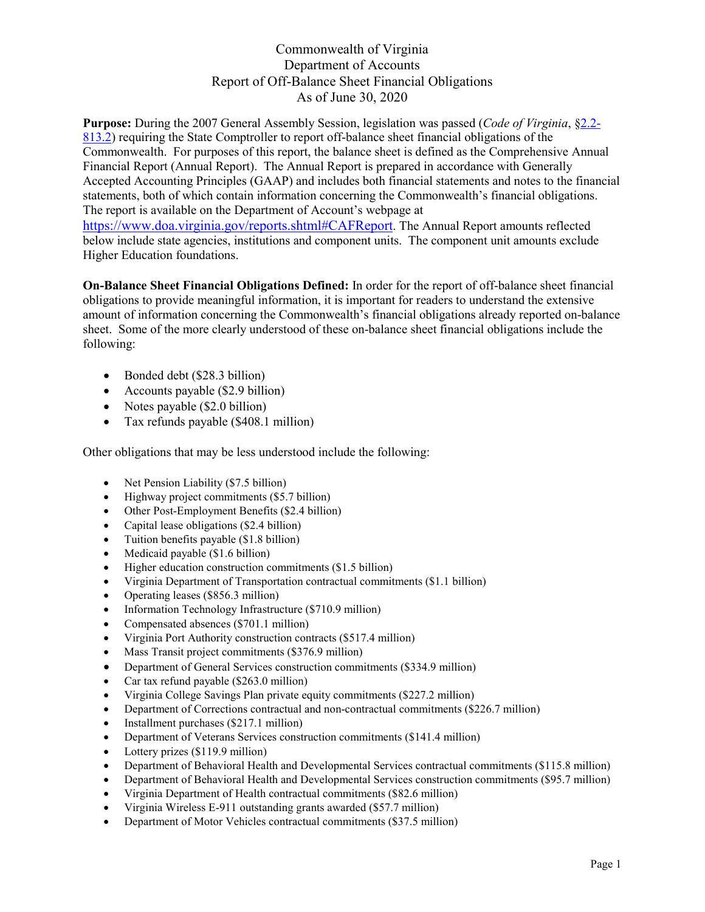**Purpose:** During the 2007 General Assembly Session, legislation was passed (*Code of Virginia*, [§2.2-](https://law.lis.virginia.gov/vacode/title2.2/chapter8/section2.2-813.2/) [813.2\)](https://law.lis.virginia.gov/vacode/title2.2/chapter8/section2.2-813.2/) requiring the State Comptroller to report off-balance sheet financial obligations of the Commonwealth. For purposes of this report, the balance sheet is defined as the Comprehensive Annual Financial Report (Annual Report). The Annual Report is prepared in accordance with Generally Accepted Accounting Principles (GAAP) and includes both financial statements and notes to the financial statements, both of which contain information concerning the Commonwealth's financial obligations. The report is available on the Department of Account's webpage at [https://www.doa.virginia.gov/reports.shtml#CAFReport.](https://www.doa.virginia.gov/reports.shtml#CAFReport) The Annual Report amounts reflected below include state agencies, institutions and component units. The component unit amounts exclude Higher Education foundations.

**On-Balance Sheet Financial Obligations Defined:** In order for the report of off-balance sheet financial obligations to provide meaningful information, it is important for readers to understand the extensive amount of information concerning the Commonwealth's financial obligations already reported on-balance sheet. Some of the more clearly understood of these on-balance sheet financial obligations include the following:

- Bonded debt (\$28.3 billion)
- Accounts payable (\$2.9 billion)
- Notes payable (\$2.0 billion)
- Tax refunds payable (\$408.1 million)

Other obligations that may be less understood include the following:

- Net Pension Liability (\$7.5 billion)
- Highway project commitments (\$5.7 billion)
- Other Post-Employment Benefits (\$2.4 billion)
- Capital lease obligations (\$2.4 billion)
- Tuition benefits payable (\$1.8 billion)
- Medicaid payable (\$1.6 billion)
- Higher education construction commitments (\$1.5 billion)
- Virginia Department of Transportation contractual commitments (\$1.1 billion)
- Operating leases (\$856.3 million)
- Information Technology Infrastructure (\$710.9 million)
- Compensated absences (\$701.1 million)
- Virginia Port Authority construction contracts (\$517.4 million)
- Mass Transit project commitments (\$376.9 million)
- Department of General Services construction commitments (\$334.9 million)
- Car tax refund payable (\$263.0 million)
- Virginia College Savings Plan private equity commitments (\$227.2 million)
- Department of Corrections contractual and non-contractual commitments (\$226.7 million)
- Installment purchases (\$217.1 million)
- Department of Veterans Services construction commitments (\$141.4 million)
- Lottery prizes (\$119.9 million)
- Department of Behavioral Health and Developmental Services contractual commitments (\$115.8 million)
- Department of Behavioral Health and Developmental Services construction commitments (\$95.7 million)
- Virginia Department of Health contractual commitments (\$82.6 million)
- Virginia Wireless E-911 outstanding grants awarded (\$57.7 million)
- Department of Motor Vehicles contractual commitments (\$37.5 million)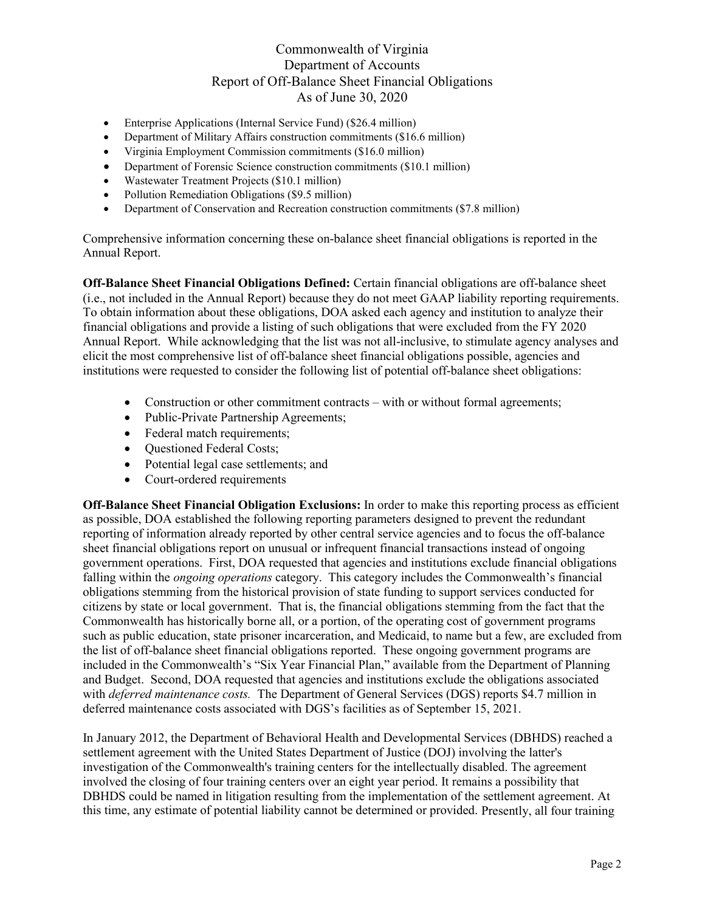- Enterprise Applications (Internal Service Fund) (\$26.4 million)
- Department of Military Affairs construction commitments (\$16.6 million)
- Virginia Employment Commission commitments (\$16.0 million)
- Department of Forensic Science construction commitments (\$10.1 million)
- Wastewater Treatment Projects (\$10.1 million)
- Pollution Remediation Obligations (\$9.5 million)
- Department of Conservation and Recreation construction commitments (\$7.8 million)

Comprehensive information concerning these on-balance sheet financial obligations is reported in the Annual Report.

**Off-Balance Sheet Financial Obligations Defined:** Certain financial obligations are off-balance sheet (i.e., not included in the Annual Report) because they do not meet GAAP liability reporting requirements. To obtain information about these obligations, DOA asked each agency and institution to analyze their financial obligations and provide a listing of such obligations that were excluded from the FY 2020 Annual Report. While acknowledging that the list was not all-inclusive, to stimulate agency analyses and elicit the most comprehensive list of off-balance sheet financial obligations possible, agencies and institutions were requested to consider the following list of potential off-balance sheet obligations:

- Construction or other commitment contracts with or without formal agreements;
- Public-Private Partnership Agreements;
- Federal match requirements;
- Ouestioned Federal Costs;
- Potential legal case settlements; and
- Court-ordered requirements

**Off-Balance Sheet Financial Obligation Exclusions:** In order to make this reporting process as efficient as possible, DOA established the following reporting parameters designed to prevent the redundant reporting of information already reported by other central service agencies and to focus the off-balance sheet financial obligations report on unusual or infrequent financial transactions instead of ongoing government operations. First, DOA requested that agencies and institutions exclude financial obligations falling within the *ongoing operations* category. This category includes the Commonwealth's financial obligations stemming from the historical provision of state funding to support services conducted for citizens by state or local government. That is, the financial obligations stemming from the fact that the Commonwealth has historically borne all, or a portion, of the operating cost of government programs such as public education, state prisoner incarceration, and Medicaid, to name but a few, are excluded from the list of off-balance sheet financial obligations reported. These ongoing government programs are included in the Commonwealth's "Six Year Financial Plan," available from the Department of Planning and Budget. Second, DOA requested that agencies and institutions exclude the obligations associated with *deferred maintenance costs.* The Department of General Services (DGS) reports \$4.7 million in deferred maintenance costs associated with DGS's facilities as of September 15, 2021.

In January 2012, the Department of Behavioral Health and Developmental Services (DBHDS) reached a settlement agreement with the United States Department of Justice (DOJ) involving the latter's investigation of the Commonwealth's training centers for the intellectually disabled. The agreement involved the closing of four training centers over an eight year period. It remains a possibility that DBHDS could be named in litigation resulting from the implementation of the settlement agreement. At this time, any estimate of potential liability cannot be determined or provided. Presently, all four training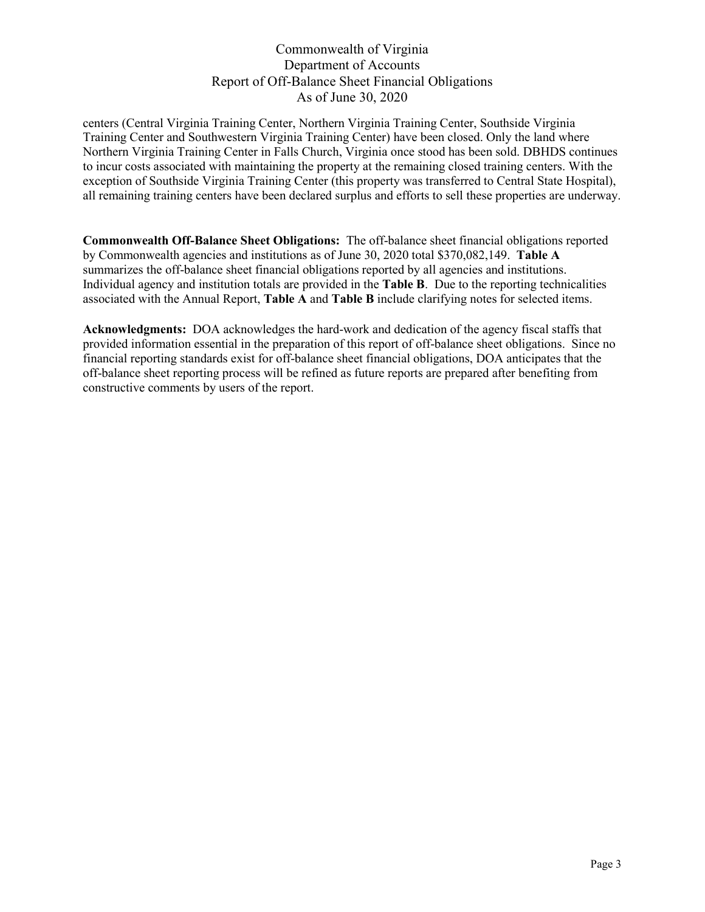centers (Central Virginia Training Center, Northern Virginia Training Center, Southside Virginia Training Center and Southwestern Virginia Training Center) have been closed. Only the land where Northern Virginia Training Center in Falls Church, Virginia once stood has been sold. DBHDS continues to incur costs associated with maintaining the property at the remaining closed training centers. With the exception of Southside Virginia Training Center (this property was transferred to Central State Hospital), all remaining training centers have been declared surplus and efforts to sell these properties are underway.

**Commonwealth Off-Balance Sheet Obligations:** The off-balance sheet financial obligations reported by Commonwealth agencies and institutions as of June 30, 2020 total \$370,082,149. **Table A** summarizes the off-balance sheet financial obligations reported by all agencies and institutions. Individual agency and institution totals are provided in the **Table B**. Due to the reporting technicalities associated with the Annual Report, **Table A** and **Table B** include clarifying notes for selected items.

**Acknowledgments:** DOA acknowledges the hard-work and dedication of the agency fiscal staffs that provided information essential in the preparation of this report of off-balance sheet obligations. Since no financial reporting standards exist for off-balance sheet financial obligations, DOA anticipates that the off-balance sheet reporting process will be refined as future reports are prepared after benefiting from constructive comments by users of the report.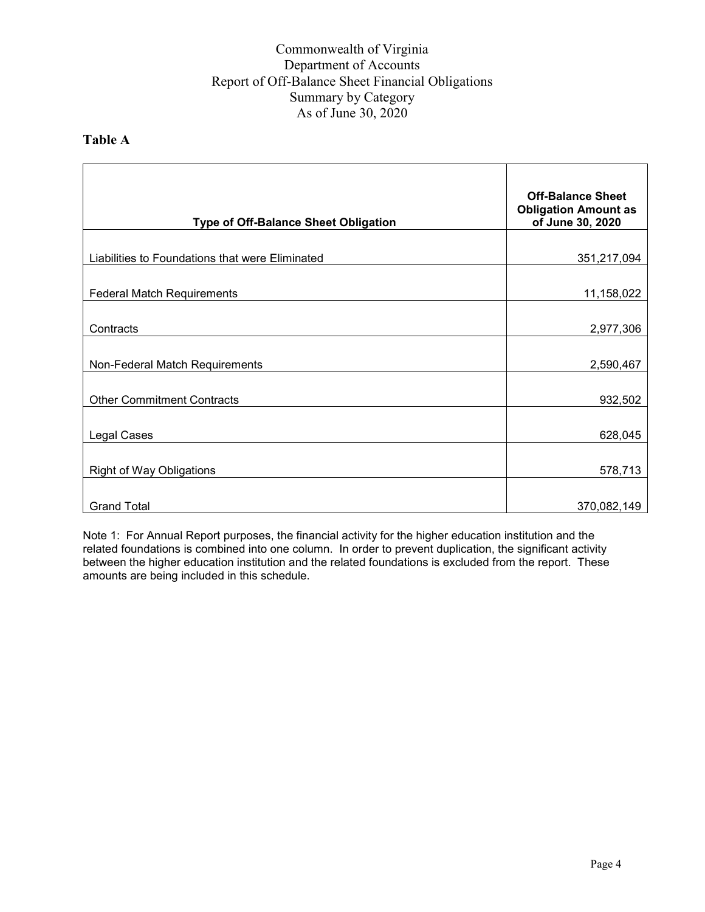#### **Table A**

| <b>Type of Off-Balance Sheet Obligation</b>     | <b>Off-Balance Sheet</b><br><b>Obligation Amount as</b><br>of June 30, 2020 |
|-------------------------------------------------|-----------------------------------------------------------------------------|
|                                                 |                                                                             |
| Liabilities to Foundations that were Eliminated | 351,217,094                                                                 |
| <b>Federal Match Requirements</b>               | 11,158,022                                                                  |
| Contracts                                       | 2,977,306                                                                   |
| Non-Federal Match Requirements                  | 2,590,467                                                                   |
| <b>Other Commitment Contracts</b>               | 932,502                                                                     |
| Legal Cases                                     | 628,045                                                                     |
| <b>Right of Way Obligations</b>                 | 578,713                                                                     |
| <b>Grand Total</b>                              | 370,082,149                                                                 |

Note 1: For Annual Report purposes, the financial activity for the higher education institution and the related foundations is combined into one column. In order to prevent duplication, the significant activity between the higher education institution and the related foundations is excluded from the report. These amounts are being included in this schedule.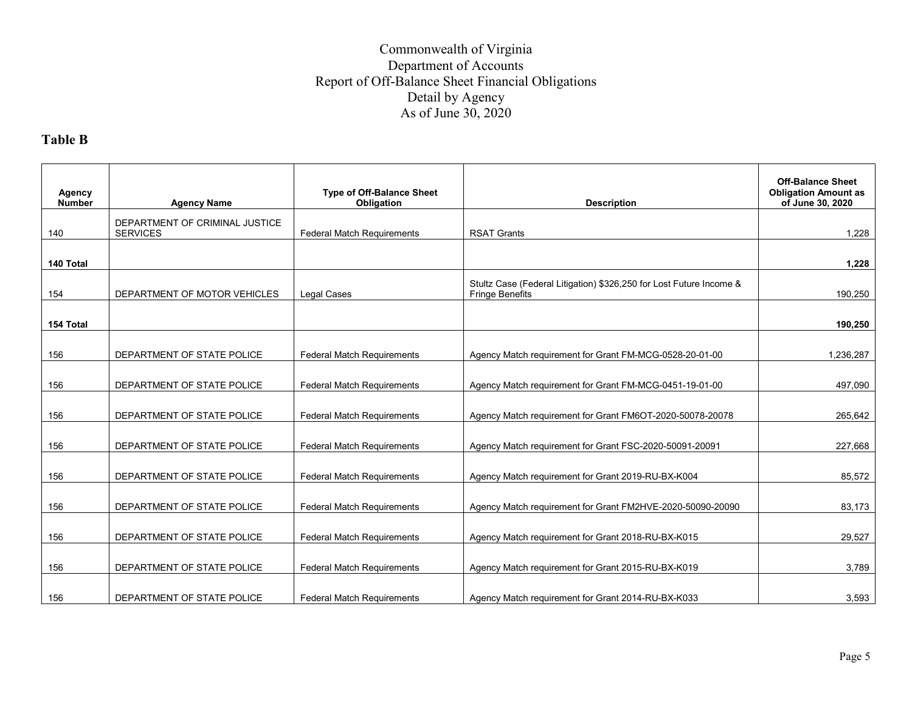# **Table B**

| Agency<br><b>Number</b> | <b>Agency Name</b>                                | <b>Type of Off-Balance Sheet</b><br>Obligation | <b>Description</b>                                                                            | <b>Off-Balance Sheet</b><br><b>Obligation Amount as</b><br>of June 30, 2020 |
|-------------------------|---------------------------------------------------|------------------------------------------------|-----------------------------------------------------------------------------------------------|-----------------------------------------------------------------------------|
| 140                     | DEPARTMENT OF CRIMINAL JUSTICE<br><b>SERVICES</b> | <b>Federal Match Requirements</b>              | <b>RSAT Grants</b>                                                                            | 1.228                                                                       |
| 140 Total               |                                                   |                                                |                                                                                               | 1,228                                                                       |
| 154                     | DEPARTMENT OF MOTOR VEHICLES                      | <b>Legal Cases</b>                             | Stultz Case (Federal Litigation) \$326,250 for Lost Future Income &<br><b>Fringe Benefits</b> | 190,250                                                                     |
| 154 Total               |                                                   |                                                |                                                                                               | 190,250                                                                     |
| 156                     | DEPARTMENT OF STATE POLICE                        | <b>Federal Match Requirements</b>              | Agency Match requirement for Grant FM-MCG-0528-20-01-00                                       | 1,236,287                                                                   |
| 156                     | DEPARTMENT OF STATE POLICE                        | Federal Match Requirements                     | Agency Match requirement for Grant FM-MCG-0451-19-01-00                                       | 497,090                                                                     |
| 156                     | DEPARTMENT OF STATE POLICE                        | <b>Federal Match Requirements</b>              | Agency Match requirement for Grant FM6OT-2020-50078-20078                                     | 265,642                                                                     |
| 156                     | DEPARTMENT OF STATE POLICE                        | <b>Federal Match Requirements</b>              | Agency Match requirement for Grant FSC-2020-50091-20091                                       | 227,668                                                                     |
| 156                     | DEPARTMENT OF STATE POLICE                        | Federal Match Requirements                     | Agency Match requirement for Grant 2019-RU-BX-K004                                            | 85,572                                                                      |
| 156                     | DEPARTMENT OF STATE POLICE                        | Federal Match Requirements                     | Agency Match requirement for Grant FM2HVE-2020-50090-20090                                    | 83,173                                                                      |
| 156                     | DEPARTMENT OF STATE POLICE                        | Federal Match Requirements                     | Agency Match requirement for Grant 2018-RU-BX-K015                                            | 29,527                                                                      |
| 156                     | DEPARTMENT OF STATE POLICE                        | Federal Match Requirements                     | Agency Match requirement for Grant 2015-RU-BX-K019                                            | 3,789                                                                       |
| 156                     | DEPARTMENT OF STATE POLICE                        | <b>Federal Match Requirements</b>              | Agency Match requirement for Grant 2014-RU-BX-K033                                            | 3.593                                                                       |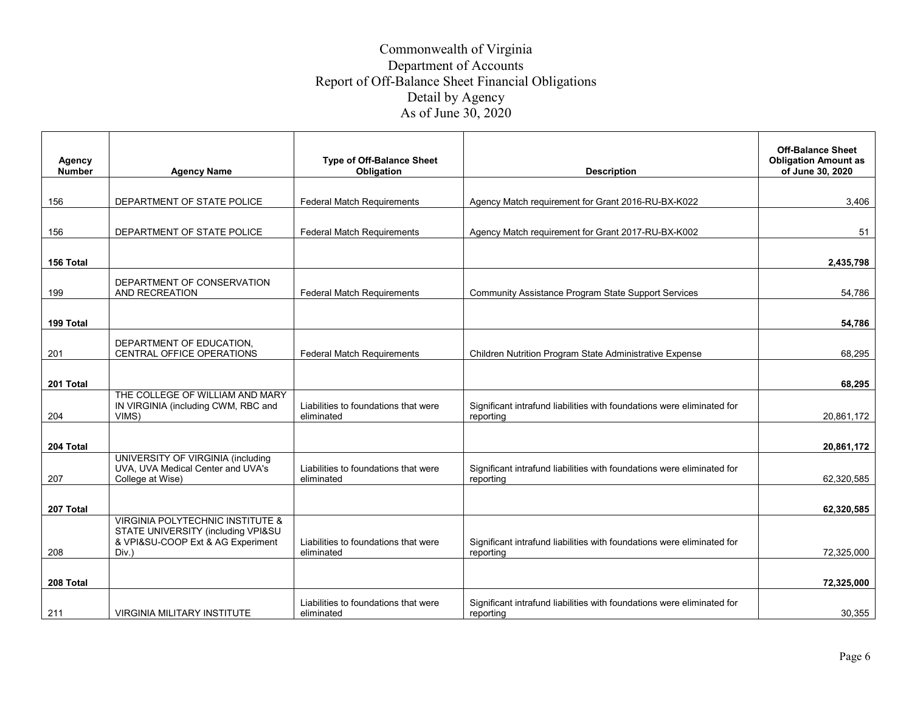| <b>Agency</b> |                                                                         | <b>Type of Off-Balance Sheet</b>                   |                                                                                     | <b>Off-Balance Sheet</b><br><b>Obligation Amount as</b> |
|---------------|-------------------------------------------------------------------------|----------------------------------------------------|-------------------------------------------------------------------------------------|---------------------------------------------------------|
| <b>Number</b> | <b>Agency Name</b>                                                      | Obligation                                         | <b>Description</b>                                                                  | of June 30, 2020                                        |
|               |                                                                         |                                                    |                                                                                     |                                                         |
| 156           | DEPARTMENT OF STATE POLICE                                              | <b>Federal Match Requirements</b>                  | Agency Match requirement for Grant 2016-RU-BX-K022                                  | 3,406                                                   |
|               |                                                                         |                                                    |                                                                                     |                                                         |
| 156           | DEPARTMENT OF STATE POLICE                                              | <b>Federal Match Requirements</b>                  | Agency Match requirement for Grant 2017-RU-BX-K002                                  | 51                                                      |
|               |                                                                         |                                                    |                                                                                     |                                                         |
| 156 Total     |                                                                         |                                                    |                                                                                     | 2,435,798                                               |
|               |                                                                         |                                                    |                                                                                     |                                                         |
| 199           | DEPARTMENT OF CONSERVATION<br>AND RECREATION                            | <b>Federal Match Requirements</b>                  | <b>Community Assistance Program State Support Services</b>                          | 54,786                                                  |
|               |                                                                         |                                                    |                                                                                     |                                                         |
|               |                                                                         |                                                    |                                                                                     |                                                         |
| 199 Total     |                                                                         |                                                    |                                                                                     | 54,786                                                  |
|               | DEPARTMENT OF EDUCATION.                                                |                                                    |                                                                                     |                                                         |
| 201           | CENTRAL OFFICE OPERATIONS                                               | <b>Federal Match Requirements</b>                  | Children Nutrition Program State Administrative Expense                             | 68,295                                                  |
|               |                                                                         |                                                    |                                                                                     |                                                         |
| 201 Total     |                                                                         |                                                    |                                                                                     | 68,295                                                  |
|               | THE COLLEGE OF WILLIAM AND MARY                                         | Liabilities to foundations that were               |                                                                                     |                                                         |
| 204           | IN VIRGINIA (including CWM, RBC and<br>VIMS)                            | eliminated                                         | Significant intrafund liabilities with foundations were eliminated for<br>reporting | 20,861,172                                              |
|               |                                                                         |                                                    |                                                                                     |                                                         |
| 204 Total     |                                                                         |                                                    |                                                                                     | 20,861,172                                              |
|               | UNIVERSITY OF VIRGINIA (including                                       |                                                    |                                                                                     |                                                         |
|               | UVA, UVA Medical Center and UVA's                                       | Liabilities to foundations that were               | Significant intrafund liabilities with foundations were eliminated for              |                                                         |
| 207           | College at Wise)                                                        | eliminated                                         | reporting                                                                           | 62.320.585                                              |
|               |                                                                         |                                                    |                                                                                     |                                                         |
| 207 Total     |                                                                         |                                                    |                                                                                     | 62,320,585                                              |
|               | <b>VIRGINIA POLYTECHNIC INSTITUTE &amp;</b>                             |                                                    |                                                                                     |                                                         |
|               | STATE UNIVERSITY (including VPI&SU<br>& VPI&SU-COOP Ext & AG Experiment | Liabilities to foundations that were               | Significant intrafund liabilities with foundations were eliminated for              |                                                         |
| 208           | Div.)                                                                   | eliminated                                         | reporting                                                                           | 72,325,000                                              |
|               |                                                                         |                                                    |                                                                                     |                                                         |
| 208 Total     |                                                                         |                                                    |                                                                                     | 72,325,000                                              |
|               |                                                                         |                                                    |                                                                                     |                                                         |
| 211           | <b>VIRGINIA MILITARY INSTITUTE</b>                                      | Liabilities to foundations that were<br>eliminated | Significant intrafund liabilities with foundations were eliminated for<br>reporting | 30,355                                                  |
|               |                                                                         |                                                    |                                                                                     |                                                         |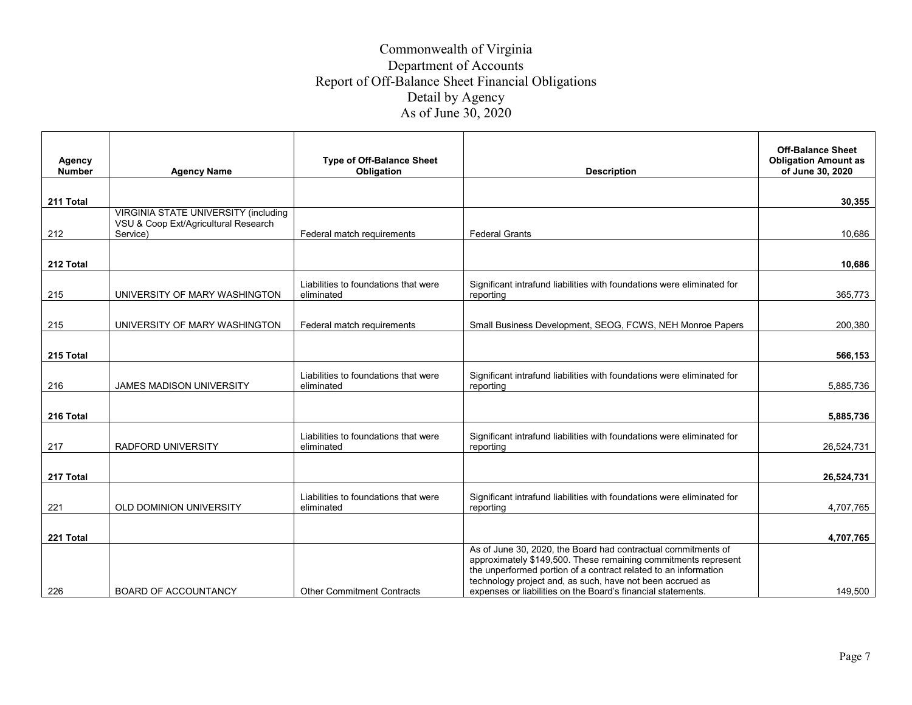| Agency<br><b>Number</b> | <b>Agency Name</b>                                                                  | <b>Type of Off-Balance Sheet</b><br>Obligation     | <b>Description</b>                                                                                                                                                                                                                                             | <b>Off-Balance Sheet</b><br><b>Obligation Amount as</b><br>of June 30, 2020 |
|-------------------------|-------------------------------------------------------------------------------------|----------------------------------------------------|----------------------------------------------------------------------------------------------------------------------------------------------------------------------------------------------------------------------------------------------------------------|-----------------------------------------------------------------------------|
|                         |                                                                                     |                                                    |                                                                                                                                                                                                                                                                |                                                                             |
| 211 Total               |                                                                                     |                                                    |                                                                                                                                                                                                                                                                | 30,355                                                                      |
|                         | <b>VIRGINIA STATE UNIVERSITY (including</b><br>VSU & Coop Ext/Agricultural Research |                                                    |                                                                                                                                                                                                                                                                |                                                                             |
| 212                     | Service)                                                                            | Federal match requirements                         | <b>Federal Grants</b>                                                                                                                                                                                                                                          | 10,686                                                                      |
| 212 Total               |                                                                                     |                                                    |                                                                                                                                                                                                                                                                | 10,686                                                                      |
| 215                     | UNIVERSITY OF MARY WASHINGTON                                                       | Liabilities to foundations that were<br>eliminated | Significant intrafund liabilities with foundations were eliminated for<br>reporting                                                                                                                                                                            | 365,773                                                                     |
|                         |                                                                                     |                                                    |                                                                                                                                                                                                                                                                |                                                                             |
| 215                     | UNIVERSITY OF MARY WASHINGTON                                                       | Federal match requirements                         | Small Business Development, SEOG, FCWS, NEH Monroe Papers                                                                                                                                                                                                      | 200,380                                                                     |
| 215 Total               |                                                                                     |                                                    |                                                                                                                                                                                                                                                                | 566,153                                                                     |
| 216                     | <b>JAMES MADISON UNIVERSITY</b>                                                     | Liabilities to foundations that were<br>eliminated | Significant intrafund liabilities with foundations were eliminated for<br>reporting                                                                                                                                                                            | 5,885,736                                                                   |
| 216 Total               |                                                                                     |                                                    |                                                                                                                                                                                                                                                                | 5,885,736                                                                   |
| 217                     | <b>RADFORD UNIVERSITY</b>                                                           | Liabilities to foundations that were<br>eliminated | Significant intrafund liabilities with foundations were eliminated for<br>reporting                                                                                                                                                                            | 26,524,731                                                                  |
|                         |                                                                                     |                                                    |                                                                                                                                                                                                                                                                |                                                                             |
| 217 Total               |                                                                                     |                                                    |                                                                                                                                                                                                                                                                | 26,524,731                                                                  |
| 221                     | OLD DOMINION UNIVERSITY                                                             | Liabilities to foundations that were<br>eliminated | Significant intrafund liabilities with foundations were eliminated for<br>reporting                                                                                                                                                                            | 4,707,765                                                                   |
|                         |                                                                                     |                                                    |                                                                                                                                                                                                                                                                |                                                                             |
| 221 Total               |                                                                                     |                                                    | As of June 30, 2020, the Board had contractual commitments of                                                                                                                                                                                                  | 4,707,765                                                                   |
| 226                     | <b>BOARD OF ACCOUNTANCY</b>                                                         | <b>Other Commitment Contracts</b>                  | approximately \$149,500. These remaining commitments represent<br>the unperformed portion of a contract related to an information<br>technology project and, as such, have not been accrued as<br>expenses or liabilities on the Board's financial statements. | 149.500                                                                     |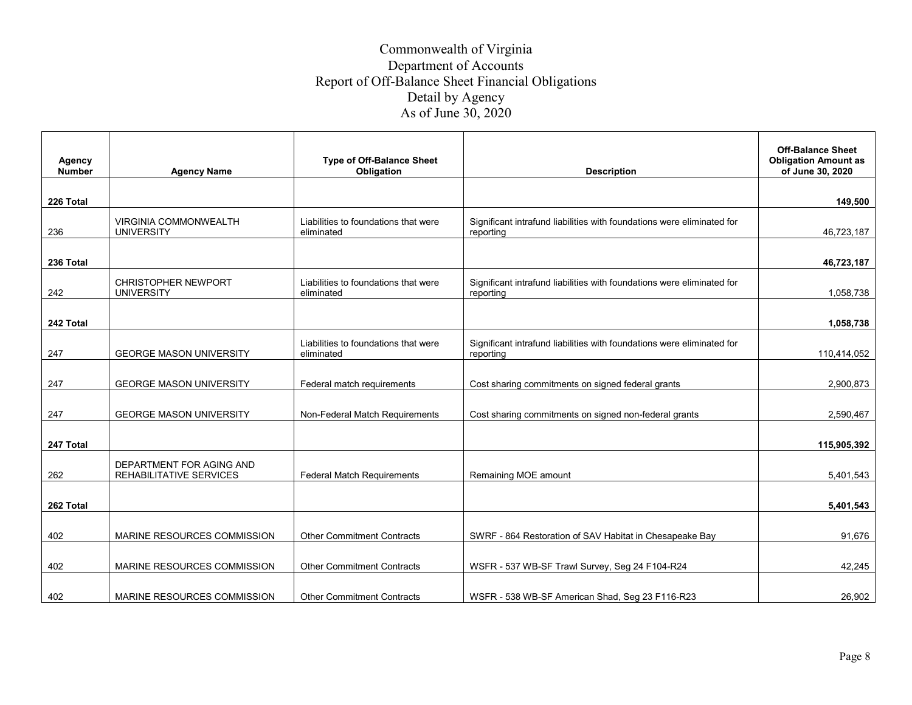| <b>Agency</b><br><b>Number</b> | <b>Agency Name</b>                              | <b>Type of Off-Balance Sheet</b><br>Obligation     | <b>Description</b>                                                                  | <b>Off-Balance Sheet</b><br><b>Obligation Amount as</b><br>of June 30, 2020 |
|--------------------------------|-------------------------------------------------|----------------------------------------------------|-------------------------------------------------------------------------------------|-----------------------------------------------------------------------------|
|                                |                                                 |                                                    |                                                                                     | 149.500                                                                     |
| 226 Total                      |                                                 |                                                    |                                                                                     |                                                                             |
| 236                            | VIRGINIA COMMONWEALTH<br><b>UNIVERSITY</b>      | Liabilities to foundations that were<br>eliminated | Significant intrafund liabilities with foundations were eliminated for<br>reporting | 46,723,187                                                                  |
| 236 Total                      |                                                 |                                                    |                                                                                     | 46,723,187                                                                  |
| 242                            | <b>CHRISTOPHER NEWPORT</b><br><b>UNIVERSITY</b> | Liabilities to foundations that were<br>eliminated | Significant intrafund liabilities with foundations were eliminated for<br>reporting | 1,058,738                                                                   |
|                                |                                                 |                                                    |                                                                                     |                                                                             |
| 242 Total                      |                                                 |                                                    |                                                                                     | 1,058,738                                                                   |
|                                |                                                 |                                                    |                                                                                     |                                                                             |
| 247                            | <b>GEORGE MASON UNIVERSITY</b>                  | Liabilities to foundations that were<br>eliminated | Significant intrafund liabilities with foundations were eliminated for<br>reporting | 110,414,052                                                                 |
|                                |                                                 |                                                    |                                                                                     |                                                                             |
| 247                            | <b>GEORGE MASON UNIVERSITY</b>                  | Federal match requirements                         | Cost sharing commitments on signed federal grants                                   | 2,900,873                                                                   |
|                                |                                                 |                                                    |                                                                                     |                                                                             |
| 247                            | <b>GEORGE MASON UNIVERSITY</b>                  | Non-Federal Match Requirements                     | Cost sharing commitments on signed non-federal grants                               | 2,590,467                                                                   |
|                                |                                                 |                                                    |                                                                                     |                                                                             |
| 247 Total                      |                                                 |                                                    |                                                                                     | 115,905,392                                                                 |
|                                | DEPARTMENT FOR AGING AND                        |                                                    |                                                                                     |                                                                             |
| 262                            | REHABILITATIVE SERVICES                         | <b>Federal Match Requirements</b>                  | Remaining MOE amount                                                                | 5,401,543                                                                   |
|                                |                                                 |                                                    |                                                                                     |                                                                             |
| 262 Total                      |                                                 |                                                    |                                                                                     | 5,401,543                                                                   |
|                                |                                                 |                                                    |                                                                                     |                                                                             |
| 402                            | MARINE RESOURCES COMMISSION                     | <b>Other Commitment Contracts</b>                  | SWRF - 864 Restoration of SAV Habitat in Chesapeake Bay                             | 91,676                                                                      |
|                                |                                                 |                                                    |                                                                                     |                                                                             |
| 402                            | MARINE RESOURCES COMMISSION                     | <b>Other Commitment Contracts</b>                  | WSFR - 537 WB-SF Trawl Survey, Seg 24 F104-R24                                      | 42,245                                                                      |
|                                |                                                 |                                                    |                                                                                     |                                                                             |
| 402                            | MARINE RESOURCES COMMISSION                     | <b>Other Commitment Contracts</b>                  | WSFR - 538 WB-SF American Shad, Seg 23 F116-R23                                     | 26,902                                                                      |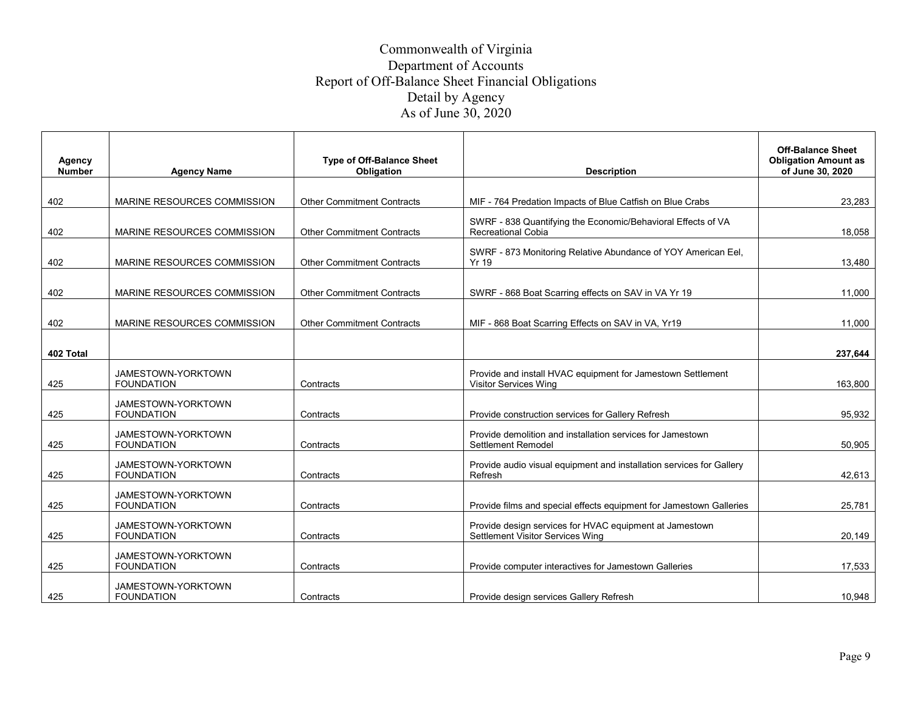| Agency<br><b>Number</b> | <b>Agency Name</b>                      | <b>Type of Off-Balance Sheet</b><br>Obligation | <b>Description</b>                                                                          | <b>Off-Balance Sheet</b><br><b>Obligation Amount as</b><br>of June 30, 2020 |
|-------------------------|-----------------------------------------|------------------------------------------------|---------------------------------------------------------------------------------------------|-----------------------------------------------------------------------------|
|                         |                                         |                                                |                                                                                             |                                                                             |
| 402                     | MARINE RESOURCES COMMISSION             | <b>Other Commitment Contracts</b>              | MIF - 764 Predation Impacts of Blue Catfish on Blue Crabs                                   | 23.283                                                                      |
| 402                     | MARINE RESOURCES COMMISSION             | <b>Other Commitment Contracts</b>              | SWRF - 838 Quantifying the Economic/Behavioral Effects of VA<br><b>Recreational Cobia</b>   | 18.058                                                                      |
| 402                     | MARINE RESOURCES COMMISSION             | <b>Other Commitment Contracts</b>              | SWRF - 873 Monitoring Relative Abundance of YOY American Eel,<br><b>Yr 19</b>               | 13,480                                                                      |
| 402                     | MARINE RESOURCES COMMISSION             | <b>Other Commitment Contracts</b>              | SWRF - 868 Boat Scarring effects on SAV in VA Yr 19                                         | 11,000                                                                      |
| 402                     | MARINE RESOURCES COMMISSION             | <b>Other Commitment Contracts</b>              | MIF - 868 Boat Scarring Effects on SAV in VA, Yr19                                          | 11,000                                                                      |
| 402 Total               |                                         |                                                |                                                                                             | 237,644                                                                     |
| 425                     | JAMESTOWN-YORKTOWN<br><b>FOUNDATION</b> | Contracts                                      | Provide and install HVAC equipment for Jamestown Settlement<br><b>Visitor Services Wing</b> | 163.800                                                                     |
| 425                     | JAMESTOWN-YORKTOWN<br><b>FOUNDATION</b> | Contracts                                      | Provide construction services for Gallery Refresh                                           | 95.932                                                                      |
| 425                     | JAMESTOWN-YORKTOWN<br><b>FOUNDATION</b> | Contracts                                      | Provide demolition and installation services for Jamestown<br>Settlement Remodel            | 50,905                                                                      |
| 425                     | JAMESTOWN-YORKTOWN<br><b>FOUNDATION</b> | Contracts                                      | Provide audio visual equipment and installation services for Gallery<br>Refresh             | 42,613                                                                      |
| 425                     | JAMESTOWN-YORKTOWN<br><b>FOUNDATION</b> | Contracts                                      | Provide films and special effects equipment for Jamestown Galleries                         | 25,781                                                                      |
| 425                     | JAMESTOWN-YORKTOWN<br><b>FOUNDATION</b> | Contracts                                      | Provide design services for HVAC equipment at Jamestown<br>Settlement Visitor Services Wing | 20,149                                                                      |
| 425                     | JAMESTOWN-YORKTOWN<br><b>FOUNDATION</b> | Contracts                                      | Provide computer interactives for Jamestown Galleries                                       | 17,533                                                                      |
| 425                     | JAMESTOWN-YORKTOWN<br><b>FOUNDATION</b> | Contracts                                      | Provide design services Gallery Refresh                                                     | 10.948                                                                      |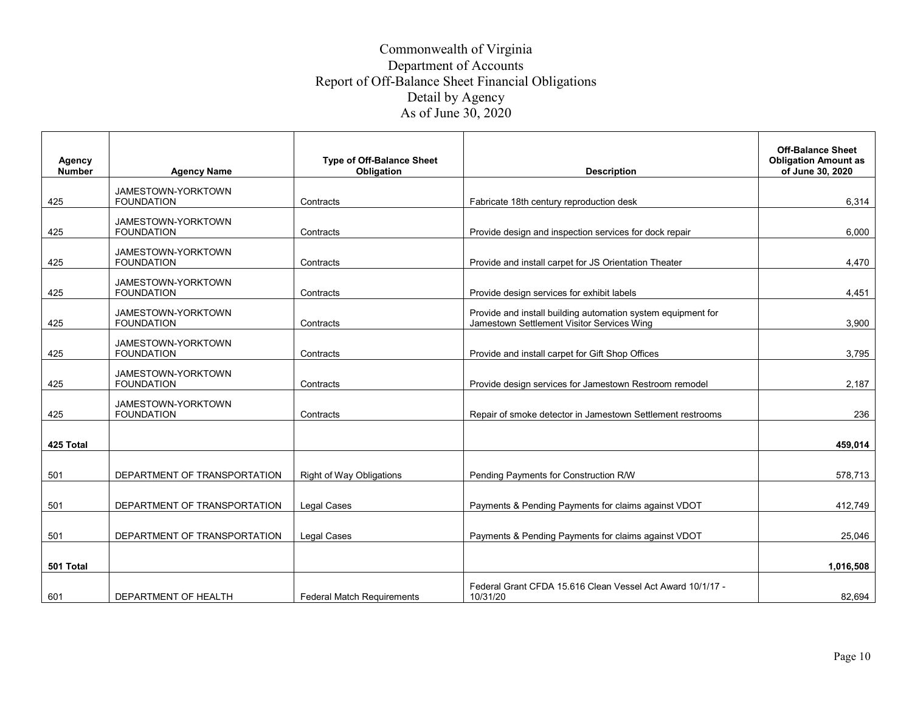| Agency<br><b>Number</b> | <b>Agency Name</b>                      | <b>Type of Off-Balance Sheet</b><br>Obligation | <b>Description</b>                                                                                         | <b>Off-Balance Sheet</b><br><b>Obligation Amount as</b><br>of June 30, 2020 |
|-------------------------|-----------------------------------------|------------------------------------------------|------------------------------------------------------------------------------------------------------------|-----------------------------------------------------------------------------|
| 425                     | JAMESTOWN-YORKTOWN<br><b>FOUNDATION</b> | Contracts                                      | Fabricate 18th century reproduction desk                                                                   | 6,314                                                                       |
| 425                     | JAMESTOWN-YORKTOWN<br><b>FOUNDATION</b> | Contracts                                      | Provide design and inspection services for dock repair                                                     | 6.000                                                                       |
| 425                     | JAMESTOWN-YORKTOWN<br><b>FOUNDATION</b> | Contracts                                      | Provide and install carpet for JS Orientation Theater                                                      | 4,470                                                                       |
| 425                     | JAMESTOWN-YORKTOWN<br><b>FOUNDATION</b> | Contracts                                      | Provide design services for exhibit labels                                                                 | 4,451                                                                       |
| 425                     | JAMESTOWN-YORKTOWN<br><b>FOUNDATION</b> | Contracts                                      | Provide and install building automation system equipment for<br>Jamestown Settlement Visitor Services Wing | 3,900                                                                       |
| 425                     | JAMESTOWN-YORKTOWN<br><b>FOUNDATION</b> | Contracts                                      | Provide and install carpet for Gift Shop Offices                                                           | 3,795                                                                       |
| 425                     | JAMESTOWN-YORKTOWN<br><b>FOUNDATION</b> | Contracts                                      | Provide design services for Jamestown Restroom remodel                                                     | 2,187                                                                       |
| 425                     | JAMESTOWN-YORKTOWN<br><b>FOUNDATION</b> | Contracts                                      | Repair of smoke detector in Jamestown Settlement restrooms                                                 | 236                                                                         |
| 425 Total               |                                         |                                                |                                                                                                            | 459,014                                                                     |
| 501                     | DEPARTMENT OF TRANSPORTATION            | <b>Right of Way Obligations</b>                | Pending Payments for Construction R/W                                                                      | 578,713                                                                     |
| 501                     | DEPARTMENT OF TRANSPORTATION            | <b>Legal Cases</b>                             | Payments & Pending Payments for claims against VDOT                                                        | 412,749                                                                     |
| 501                     | DEPARTMENT OF TRANSPORTATION            | Legal Cases                                    | Payments & Pending Payments for claims against VDOT                                                        | 25,046                                                                      |
| 501 Total               |                                         |                                                |                                                                                                            | 1,016,508                                                                   |
| 601                     | DEPARTMENT OF HEALTH                    | <b>Federal Match Requirements</b>              | Federal Grant CFDA 15.616 Clean Vessel Act Award 10/1/17 -<br>10/31/20                                     | 82.694                                                                      |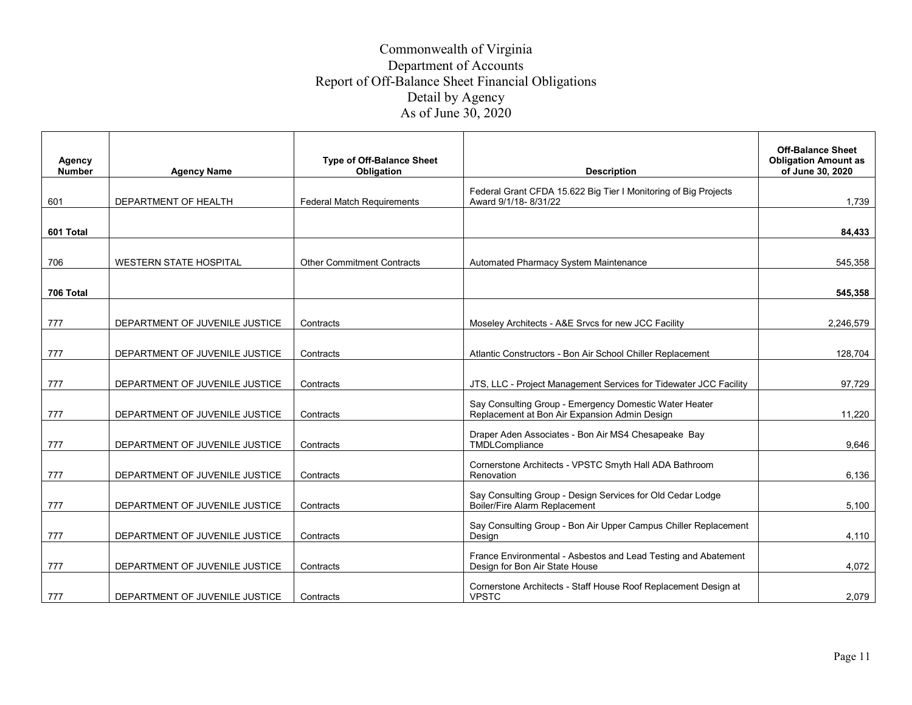| Agency<br><b>Number</b> | <b>Agency Name</b>             | <b>Type of Off-Balance Sheet</b><br>Obligation | <b>Description</b>                                                                                      | <b>Off-Balance Sheet</b><br><b>Obligation Amount as</b><br>of June 30, 2020 |
|-------------------------|--------------------------------|------------------------------------------------|---------------------------------------------------------------------------------------------------------|-----------------------------------------------------------------------------|
| 601                     | DEPARTMENT OF HEALTH           | <b>Federal Match Requirements</b>              | Federal Grant CFDA 15.622 Big Tier I Monitoring of Big Projects<br>Award 9/1/18-8/31/22                 | 1,739                                                                       |
| 601 Total               |                                |                                                |                                                                                                         | 84.433                                                                      |
| 706                     | <b>WESTERN STATE HOSPITAL</b>  | <b>Other Commitment Contracts</b>              | Automated Pharmacy System Maintenance                                                                   | 545,358                                                                     |
| 706 Total               |                                |                                                |                                                                                                         | 545,358                                                                     |
| 777                     | DEPARTMENT OF JUVENILE JUSTICE | Contracts                                      | Moseley Architects - A&E Srvcs for new JCC Facility                                                     | 2,246,579                                                                   |
| 777                     | DEPARTMENT OF JUVENILE JUSTICE | Contracts                                      | Atlantic Constructors - Bon Air School Chiller Replacement                                              | 128,704                                                                     |
| 777                     | DEPARTMENT OF JUVENILE JUSTICE | Contracts                                      | JTS, LLC - Project Management Services for Tidewater JCC Facility                                       | 97,729                                                                      |
| 777                     | DEPARTMENT OF JUVENILE JUSTICE | Contracts                                      | Say Consulting Group - Emergency Domestic Water Heater<br>Replacement at Bon Air Expansion Admin Design | 11,220                                                                      |
| 777                     | DEPARTMENT OF JUVENILE JUSTICE | Contracts                                      | Draper Aden Associates - Bon Air MS4 Chesapeake Bay<br>TMDLCompliance                                   | 9.646                                                                       |
| 777                     | DEPARTMENT OF JUVENILE JUSTICE | Contracts                                      | Cornerstone Architects - VPSTC Smyth Hall ADA Bathroom<br>Renovation                                    | 6,136                                                                       |
| 777                     | DEPARTMENT OF JUVENILE JUSTICE | Contracts                                      | Say Consulting Group - Design Services for Old Cedar Lodge<br>Boiler/Fire Alarm Replacement             | 5,100                                                                       |
| 777                     | DEPARTMENT OF JUVENILE JUSTICE | Contracts                                      | Say Consulting Group - Bon Air Upper Campus Chiller Replacement<br>Desian                               | 4.110                                                                       |
| 777                     | DEPARTMENT OF JUVENILE JUSTICE | Contracts                                      | France Environmental - Asbestos and Lead Testing and Abatement<br>Design for Bon Air State House        | 4,072                                                                       |
| 777                     | DEPARTMENT OF JUVENILE JUSTICE | Contracts                                      | Cornerstone Architects - Staff House Roof Replacement Design at<br><b>VPSTC</b>                         | 2.079                                                                       |